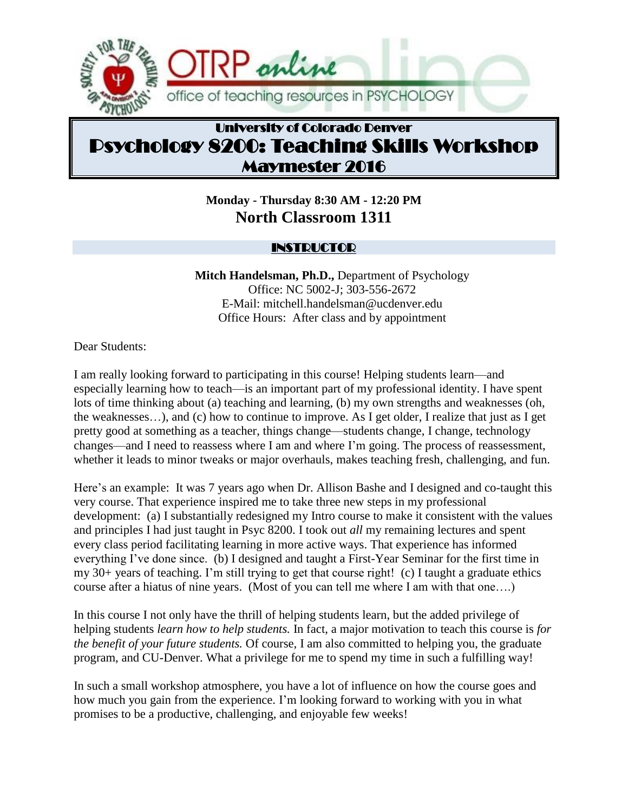

# University of Colorado Denver Psychology 8200: Teaching Skills Workshop Maymester 2016

**Monday - Thursday 8:30 AM - 12:20 PM North Classroom 1311**

### **INSTRUCTOR**

**Mitch Handelsman, Ph.D.,** Department of Psychology Office: NC 5002-J; 303-556-2672 E-Mail: mitchell.handelsman@ucdenver.edu Office Hours: After class and by appointment

Dear Students:

I am really looking forward to participating in this course! Helping students learn—and especially learning how to teach—is an important part of my professional identity. I have spent lots of time thinking about (a) teaching and learning, (b) my own strengths and weaknesses (oh, the weaknesses…), and (c) how to continue to improve. As I get older, I realize that just as I get pretty good at something as a teacher, things change—students change, I change, technology changes—and I need to reassess where I am and where I'm going. The process of reassessment, whether it leads to minor tweaks or major overhauls, makes teaching fresh, challenging, and fun.

Here's an example: It was 7 years ago when Dr. Allison Bashe and I designed and co-taught this very course. That experience inspired me to take three new steps in my professional development: (a) I substantially redesigned my Intro course to make it consistent with the values and principles I had just taught in Psyc 8200. I took out *all* my remaining lectures and spent every class period facilitating learning in more active ways. That experience has informed everything I've done since. (b) I designed and taught a First-Year Seminar for the first time in my 30+ years of teaching. I'm still trying to get that course right! (c) I taught a graduate ethics course after a hiatus of nine years. (Most of you can tell me where I am with that one….)

In this course I not only have the thrill of helping students learn, but the added privilege of helping students *learn how to help students.* In fact, a major motivation to teach this course is *for the benefit of your future students.* Of course, I am also committed to helping you, the graduate program, and CU-Denver. What a privilege for me to spend my time in such a fulfilling way!

In such a small workshop atmosphere, you have a lot of influence on how the course goes and how much you gain from the experience. I'm looking forward to working with you in what promises to be a productive, challenging, and enjoyable few weeks!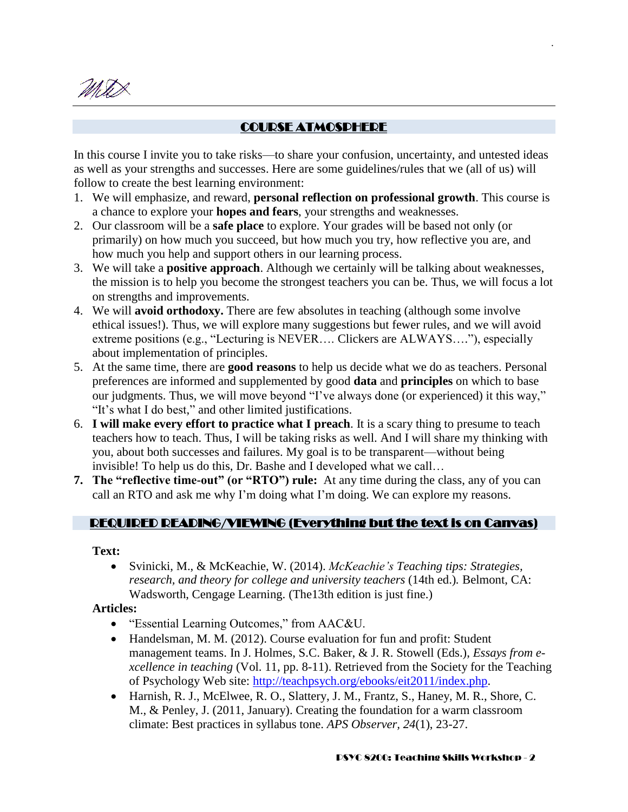MUS

٦

## COURSE ATMOSPHERE

.

In this course I invite you to take risks—to share your confusion, uncertainty, and untested ideas as well as your strengths and successes. Here are some guidelines/rules that we (all of us) will follow to create the best learning environment:

- 1. We will emphasize, and reward, **personal reflection on professional growth**. This course is a chance to explore your **hopes and fears**, your strengths and weaknesses.
- 2. Our classroom will be a **safe place** to explore. Your grades will be based not only (or primarily) on how much you succeed, but how much you try, how reflective you are, and how much you help and support others in our learning process.
- 3. We will take a **positive approach**. Although we certainly will be talking about weaknesses, the mission is to help you become the strongest teachers you can be. Thus, we will focus a lot on strengths and improvements.
- 4. We will **avoid orthodoxy.** There are few absolutes in teaching (although some involve ethical issues!). Thus, we will explore many suggestions but fewer rules, and we will avoid extreme positions (e.g., "Lecturing is NEVER…. Clickers are ALWAYS…."), especially about implementation of principles.
- 5. At the same time, there are **good reasons** to help us decide what we do as teachers. Personal preferences are informed and supplemented by good **data** and **principles** on which to base our judgments. Thus, we will move beyond "I've always done (or experienced) it this way," "It's what I do best," and other limited justifications.
- 6. **I will make every effort to practice what I preach**. It is a scary thing to presume to teach teachers how to teach. Thus, I will be taking risks as well. And I will share my thinking with you, about both successes and failures. My goal is to be transparent—without being invisible! To help us do this, Dr. Bashe and I developed what we call…
- **7. The "reflective time-out" (or "RTO") rule:** At any time during the class, any of you can call an RTO and ask me why I'm doing what I'm doing. We can explore my reasons.

### REQUIRED READING/VIEWING (Everything but the text is on Canvas)

#### **Text:**

 Svinicki, M., & McKeachie, W. (2014). *McKeachie's Teaching tips: Strategies, research, and theory for college and university teachers* (14th ed.)*.* Belmont, CA: Wadsworth, Cengage Learning. (The13th edition is just fine.)

#### **Articles:**

- "Essential Learning Outcomes," from AAC&U.
- Handelsman, M. M. (2012). Course evaluation for fun and profit: Student management teams. In J. Holmes, S.C. Baker, & J. R. Stowell (Eds.), *Essays from excellence in teaching* (Vol. 11, pp. 8-11). Retrieved from the Society for the Teaching of Psychology Web site: [http://teachpsych.org/ebooks/eit2011/index.php.](http://teachpsych.org/ebooks/eit2011/index.php)
- Harnish, R. J., McElwee, R. O., Slattery, J. M., Frantz, S., Haney, M. R., Shore, C. M., & Penley, J. (2011, January). Creating the foundation for a warm classroom climate: Best practices in syllabus tone. *APS Observer, 24*(1), 23-27.

#### PSYC 8200: Teaching Skills Workshop - 2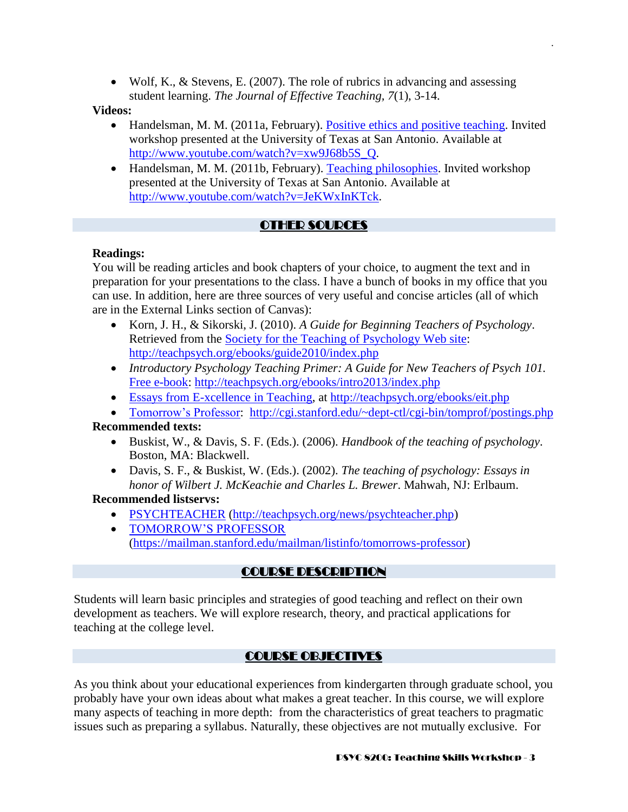Wolf, K., & Stevens, E. (2007). The role of rubrics in advancing and assessing student learning. *The Journal of Effective Teaching, 7*(1), 3-14.

#### **Videos:**

• Handelsman, M. M. (2011a, February). [Positive ethics and positive teaching.](http://www.youtube.com/watch?v=xw9J68b5S_Q) Invited workshop presented at the University of Texas at San Antonio. Available at [http://www.youtube.com/watch?v=xw9J68b5S\\_Q.](http://www.youtube.com/watch?v=xw9J68b5S_Q)

.

• Handelsman, M. M. (2011b, February). [Teaching philosophies.](http://www.youtube.com/watch?v=JeKWxInKTck) Invited workshop presented at the University of Texas at San Antonio. Available at [http://www.youtube.com/watch?v=JeKWxInKTck.](http://www.youtube.com/watch?v=JeKWxInKTck)

## OTHER SOURCES

#### **Readings:**

You will be reading articles and book chapters of your choice, to augment the text and in preparation for your presentations to the class. I have a bunch of books in my office that you can use. In addition, here are three sources of very useful and concise articles (all of which are in the External Links section of Canvas):

- Korn, J. H., & Sikorski, J. (2010). *A Guide for Beginning Teachers of Psychology*. Retrieved from the [Society for the Teaching of Psychology Web site:](http://teachpsych.org/ebooks/guide2010/index.php) <http://teachpsych.org/ebooks/guide2010/index.php>
- *Introductory Psychology Teaching Primer: A Guide for New Teachers of Psych 101.* [Free e-book: http://teachpsych.org/ebooks/intro2013/index.php](http://teachpsych.org/ebooks/intro2013/index.php)
- [Essays from E-xcellence in Teaching,](http://teachpsych.org/ebooks/eit.php) at<http://teachpsych.org/ebooks/eit.php>
- [Tomorrow's Professor:](http://cgi.stanford.edu/~dept-ctl/cgi-bin/tomprof/postings.php) <http://cgi.stanford.edu/~dept-ctl/cgi-bin/tomprof/postings.php>

#### **Recommended texts:**

- Buskist, W., & Davis, S. F. (Eds.). (2006). *Handbook of the teaching of psychology*. Boston, MA: Blackwell.
- Davis, S. F., & Buskist, W. (Eds.). (2002). *The teaching of psychology: Essays in honor of Wilbert J. McKeachie and Charles L. Brewer*. Mahwah, NJ: Erlbaum.

#### **Recommended listservs:**

- [PSYCHTEACHER](http://teachpsych.org/news/psychteacher.php) [\(http://teachpsych.org/news/psychteacher.php\)](http://teachpsych.org/news/psychteacher.php)
- [TOMORROW'S PROFESSOR](https://mailman.stanford.edu/mailman/listinfo/tomorrows-professor) [\(https://mailman.stanford.edu/mailman/listinfo/tomorrows-professor\)](https://mailman.stanford.edu/mailman/listinfo/tomorrows-professor)

### COURSE DESCRIPTION

Students will learn basic principles and strategies of good teaching and reflect on their own development as teachers. We will explore research, theory, and practical applications for teaching at the college level.

### COURSE OBJECTIVES

As you think about your educational experiences from kindergarten through graduate school, you probably have your own ideas about what makes a great teacher. In this course, we will explore many aspects of teaching in more depth: from the characteristics of great teachers to pragmatic issues such as preparing a syllabus. Naturally, these objectives are not mutually exclusive. For

#### PSYC 8200: Teaching Skills Workshop - 3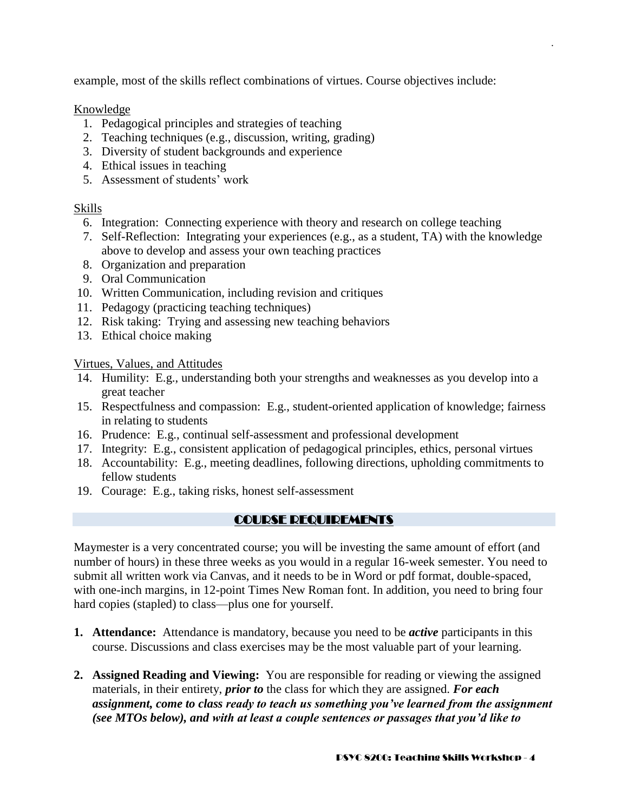example, most of the skills reflect combinations of virtues. Course objectives include:

Knowledge

- 1. Pedagogical principles and strategies of teaching
- 2. Teaching techniques (e.g., discussion, writing, grading)
- 3. Diversity of student backgrounds and experience
- 4. Ethical issues in teaching
- 5. Assessment of students' work

### Skills

- 6. Integration: Connecting experience with theory and research on college teaching
- 7. Self-Reflection: Integrating your experiences (e.g., as a student, TA) with the knowledge above to develop and assess your own teaching practices
- 8. Organization and preparation
- 9. Oral Communication
- 10. Written Communication, including revision and critiques
- 11. Pedagogy (practicing teaching techniques)
- 12. Risk taking: Trying and assessing new teaching behaviors
- 13. Ethical choice making

Virtues, Values, and Attitudes

- 14. Humility: E.g., understanding both your strengths and weaknesses as you develop into a great teacher
- 15. Respectfulness and compassion: E.g., student-oriented application of knowledge; fairness in relating to students
- 16. Prudence: E.g., continual self-assessment and professional development
- 17. Integrity: E.g., consistent application of pedagogical principles, ethics, personal virtues
- 18. Accountability: E.g., meeting deadlines, following directions, upholding commitments to fellow students
- 19. Courage: E.g., taking risks, honest self-assessment

## COURSE REQUIREMENTS

Maymester is a very concentrated course; you will be investing the same amount of effort (and number of hours) in these three weeks as you would in a regular 16-week semester. You need to submit all written work via Canvas, and it needs to be in Word or pdf format, double-spaced, with one-inch margins, in 12-point Times New Roman font. In addition, you need to bring four hard copies (stapled) to class—plus one for yourself.

- **1. Attendance:** Attendance is mandatory, because you need to be *active* participants in this course. Discussions and class exercises may be the most valuable part of your learning.
- **2. Assigned Reading and Viewing:** You are responsible for reading or viewing the assigned materials, in their entirety, *prior to* the class for which they are assigned. *For each assignment, come to class ready to teach us something you've learned from the assignment (see MTOs below), and with at least a couple sentences or passages that you'd like to*

.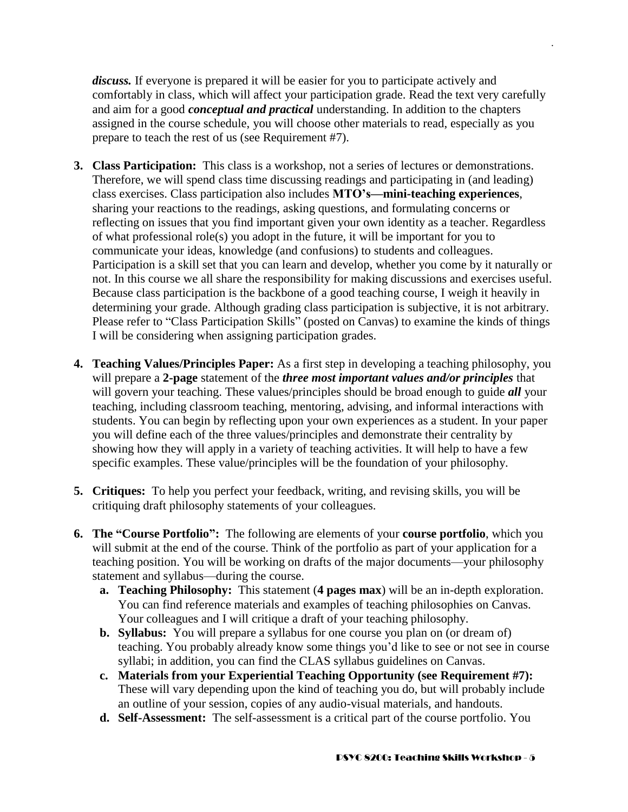*discuss.* If everyone is prepared it will be easier for you to participate actively and comfortably in class, which will affect your participation grade. Read the text very carefully and aim for a good *conceptual and practical* understanding. In addition to the chapters assigned in the course schedule, you will choose other materials to read, especially as you prepare to teach the rest of us (see Requirement #7).

.

- **3. Class Participation:** This class is a workshop, not a series of lectures or demonstrations. Therefore, we will spend class time discussing readings and participating in (and leading) class exercises. Class participation also includes **MTO's—mini-teaching experiences**, sharing your reactions to the readings, asking questions, and formulating concerns or reflecting on issues that you find important given your own identity as a teacher. Regardless of what professional role(s) you adopt in the future, it will be important for you to communicate your ideas, knowledge (and confusions) to students and colleagues. Participation is a skill set that you can learn and develop, whether you come by it naturally or not. In this course we all share the responsibility for making discussions and exercises useful. Because class participation is the backbone of a good teaching course, I weigh it heavily in determining your grade. Although grading class participation is subjective, it is not arbitrary. Please refer to "Class Participation Skills" (posted on Canvas) to examine the kinds of things I will be considering when assigning participation grades.
- **4. Teaching Values/Principles Paper:** As a first step in developing a teaching philosophy, you will prepare a **2-page** statement of the *three most important values and/or principles* that will govern your teaching. These values/principles should be broad enough to guide *all* your teaching, including classroom teaching, mentoring, advising, and informal interactions with students. You can begin by reflecting upon your own experiences as a student. In your paper you will define each of the three values/principles and demonstrate their centrality by showing how they will apply in a variety of teaching activities. It will help to have a few specific examples. These value/principles will be the foundation of your philosophy.
- **5. Critiques:** To help you perfect your feedback, writing, and revising skills, you will be critiquing draft philosophy statements of your colleagues.
- **6. The "Course Portfolio":** The following are elements of your **course portfolio**, which you will submit at the end of the course. Think of the portfolio as part of your application for a teaching position. You will be working on drafts of the major documents—your philosophy statement and syllabus—during the course.
	- **a. Teaching Philosophy:** This statement (**4 pages max**) will be an in-depth exploration. You can find reference materials and examples of teaching philosophies on Canvas. Your colleagues and I will critique a draft of your teaching philosophy.
	- **b. Syllabus:** You will prepare a syllabus for one course you plan on (or dream of) teaching. You probably already know some things you'd like to see or not see in course syllabi; in addition, you can find the CLAS syllabus guidelines on Canvas.
	- **c. Materials from your Experiential Teaching Opportunity (see Requirement #7):**  These will vary depending upon the kind of teaching you do, but will probably include an outline of your session, copies of any audio-visual materials, and handouts.
	- **d. Self-Assessment:** The self-assessment is a critical part of the course portfolio. You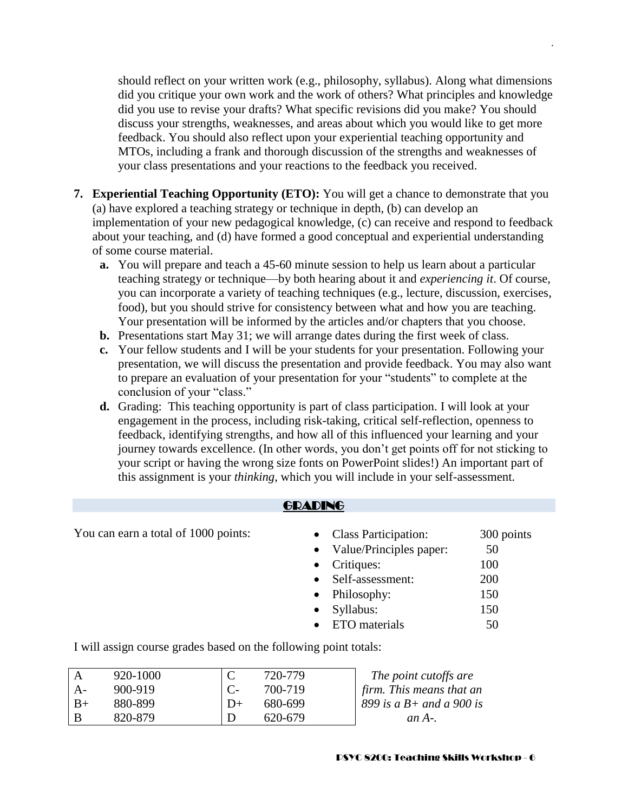should reflect on your written work (e.g., philosophy, syllabus). Along what dimensions did you critique your own work and the work of others? What principles and knowledge did you use to revise your drafts? What specific revisions did you make? You should discuss your strengths, weaknesses, and areas about which you would like to get more feedback. You should also reflect upon your experiential teaching opportunity and MTOs, including a frank and thorough discussion of the strengths and weaknesses of your class presentations and your reactions to the feedback you received.

.

- **7. Experiential Teaching Opportunity (ETO):** You will get a chance to demonstrate that you (a) have explored a teaching strategy or technique in depth, (b) can develop an implementation of your new pedagogical knowledge, (c) can receive and respond to feedback about your teaching, and (d) have formed a good conceptual and experiential understanding of some course material.
	- **a.** You will prepare and teach a 45-60 minute session to help us learn about a particular teaching strategy or technique—by both hearing about it and *experiencing it*. Of course, you can incorporate a variety of teaching techniques (e.g., lecture, discussion, exercises, food), but you should strive for consistency between what and how you are teaching. Your presentation will be informed by the articles and/or chapters that you choose.
	- **b.** Presentations start May 31; we will arrange dates during the first week of class.
	- **c.** Your fellow students and I will be your students for your presentation. Following your presentation, we will discuss the presentation and provide feedback. You may also want to prepare an evaluation of your presentation for your "students" to complete at the conclusion of your "class."
	- **d.** Grading: This teaching opportunity is part of class participation. I will look at your engagement in the process, including risk-taking, critical self-reflection, openness to feedback, identifying strengths, and how all of this influenced your learning and your journey towards excellence. (In other words, you don't get points off for not sticking to your script or having the wrong size fonts on PowerPoint slides!) An important part of this assignment is your *thinking*, which you will include in your self-assessment.

| <b>GRADING</b>                                                   |   |                                                                                         |                                                                                                                                              |                         |                                                    |
|------------------------------------------------------------------|---|-----------------------------------------------------------------------------------------|----------------------------------------------------------------------------------------------------------------------------------------------|-------------------------|----------------------------------------------------|
| You can earn a total of 1000 points:                             |   | $\bullet$<br>$\bullet$<br>$\bullet$<br>$\bullet$<br>$\bullet$<br>$\bullet$<br>$\bullet$ | <b>Class Participation:</b><br>Value/Principles paper:<br>Critiques:<br>Self-assessment:<br>Philosophy:<br>Syllabus:<br><b>ETO</b> materials |                         | 300 points<br>50<br>100<br>200<br>150<br>150<br>50 |
| I will assign course grades based on the following point totals: |   |                                                                                         |                                                                                                                                              |                         |                                                    |
| 920-1000<br>A                                                    | C | 720-779                                                                                 |                                                                                                                                              | The point cutoffs are   |                                                    |
| $900 - 919$<br>$\mathbf{A}$                                      |   | 700-719                                                                                 |                                                                                                                                              | firm This means that an |                                                    |

| $A -$ | 900-919 |      | 700-719 | $\int$ firm. This means that an |
|-------|---------|------|---------|---------------------------------|
| $B+$  | 880-899 | $D+$ | 680-699 | 899 is a $B$ + and a 900 is     |
| B     | 820-879 |      | 620-679 | an $A$ -.                       |
|       |         |      |         |                                 |

#### PSYC 8200: Teaching Skills Workshop - 6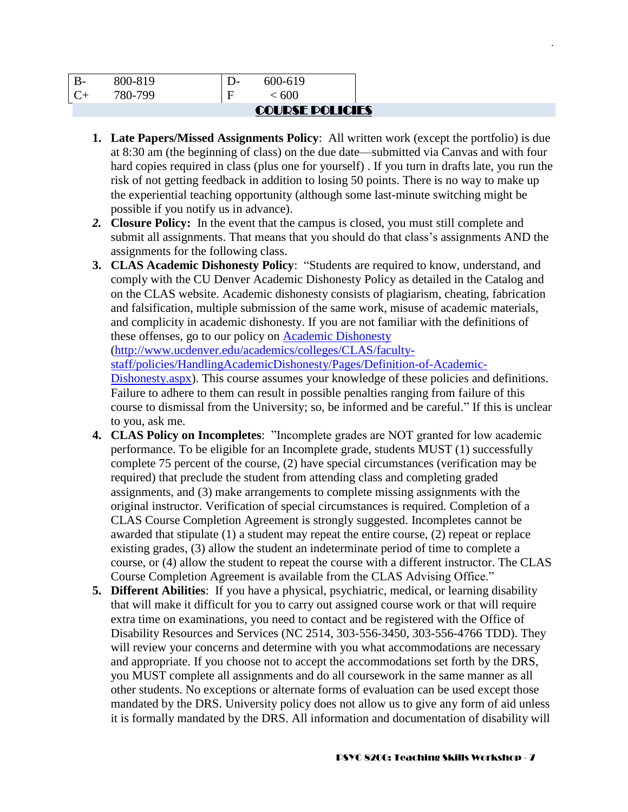|         | <b>COURSE POLICIES</b> |  |
|---------|------------------------|--|
| 780-799 | < 600                  |  |
| 800-819 | 600-619                |  |

**1. Late Papers/Missed Assignments Policy**: All written work (except the portfolio) is due at 8:30 am (the beginning of class) on the due date—submitted via Canvas and with four hard copies required in class (plus one for yourself) . If you turn in drafts late, you run the risk of not getting feedback in addition to losing 50 points. There is no way to make up the experiential teaching opportunity (although some last-minute switching might be possible if you notify us in advance).

.

- *2.* **Closure Policy:**In the event that the campus is closed, you must still complete and submit all assignments. That means that you should do that class's assignments AND the assignments for the following class.
- **3. CLAS Academic Dishonesty Policy**: "Students are required to know, understand, and comply with the CU Denver Academic Dishonesty Policy as detailed in the Catalog and on the CLAS website. Academic dishonesty consists of plagiarism, cheating, fabrication and falsification, multiple submission of the same work, misuse of academic materials, and complicity in academic dishonesty. If you are not familiar with the definitions of these offenses, go to our policy on [Academic Dishonesty](http://www.ucdenver.edu/academics/colleges/CLAS/faculty-staff/policies/HandlingAcademicDishonesty/Pages/Definition-of-Academic-Dishonesty.aspx)

[\(http://www.ucdenver.edu/academics/colleges/CLAS/faculty-](http://www.ucdenver.edu/academics/colleges/CLAS/faculty-staff/policies/HandlingAcademicDishonesty/Pages/Definition-of-Academic-Dishonesty.aspx)

[staff/policies/HandlingAcademicDishonesty/Pages/Definition-of-Academic-](http://www.ucdenver.edu/academics/colleges/CLAS/faculty-staff/policies/HandlingAcademicDishonesty/Pages/Definition-of-Academic-Dishonesty.aspx)

[Dishonesty.aspx\)](http://www.ucdenver.edu/academics/colleges/CLAS/faculty-staff/policies/HandlingAcademicDishonesty/Pages/Definition-of-Academic-Dishonesty.aspx). This course assumes your knowledge of these policies and definitions. Failure to adhere to them can result in possible penalties ranging from failure of this course to dismissal from the University; so, be informed and be careful." If this is unclear to you, ask me.

- **4. CLAS Policy on Incompletes**: "Incomplete grades are NOT granted for low academic performance. To be eligible for an Incomplete grade, students MUST (1) successfully complete 75 percent of the course, (2) have special circumstances (verification may be required) that preclude the student from attending class and completing graded assignments, and (3) make arrangements to complete missing assignments with the original instructor. Verification of special circumstances is required. Completion of a CLAS Course Completion Agreement is strongly suggested. Incompletes cannot be awarded that stipulate (1) a student may repeat the entire course, (2) repeat or replace existing grades, (3) allow the student an indeterminate period of time to complete a course, or (4) allow the student to repeat the course with a different instructor. The CLAS Course Completion Agreement is available from the CLAS Advising Office."
- **5. Different Abilities**: If you have a physical, psychiatric, medical, or learning disability that will make it difficult for you to carry out assigned course work or that will require extra time on examinations, you need to contact and be registered with the Office of Disability Resources and Services (NC 2514, 303-556-3450, 303-556-4766 TDD). They will review your concerns and determine with you what accommodations are necessary and appropriate. If you choose not to accept the accommodations set forth by the DRS, you MUST complete all assignments and do all coursework in the same manner as all other students. No exceptions or alternate forms of evaluation can be used except those mandated by the DRS. University policy does not allow us to give any form of aid unless it is formally mandated by the DRS. All information and documentation of disability will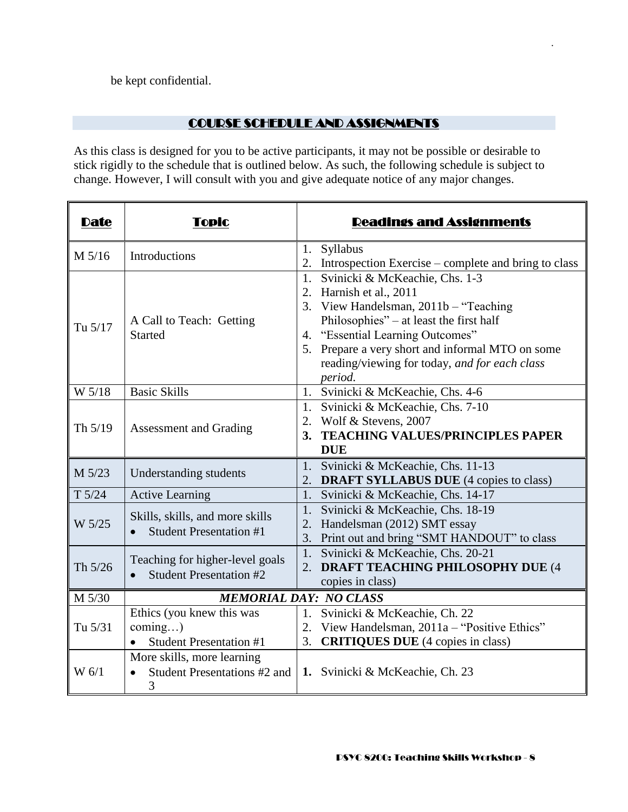be kept confidential.

### COURSE SCHEDULE AND ASSIGNMENTS

.

As this class is designed for you to be active participants, it may not be possible or desirable to stick rigidly to the schedule that is outlined below. As such, the following schedule is subject to change. However, I will consult with you and give adequate notice of any major changes.

| <b>Date</b> | Topic                                                                          | <b>Readings and Assignments</b>                                                                                                                                                                                                                                                                      |  |  |
|-------------|--------------------------------------------------------------------------------|------------------------------------------------------------------------------------------------------------------------------------------------------------------------------------------------------------------------------------------------------------------------------------------------------|--|--|
| M 5/16      | Introductions                                                                  | 1. Syllabus<br>2. Introspection Exercise – complete and bring to class                                                                                                                                                                                                                               |  |  |
| Tu 5/17     | A Call to Teach: Getting<br><b>Started</b>                                     | 1. Svinicki & McKeachie, Chs. 1-3<br>2. Harnish et al., 2011<br>3. View Handelsman, 2011b - "Teaching<br>Philosophies" – at least the first half<br>4. "Essential Learning Outcomes"<br>5. Prepare a very short and informal MTO on some<br>reading/viewing for today, and for each class<br>period. |  |  |
| W 5/18      | <b>Basic Skills</b>                                                            | 1. Svinicki & McKeachie, Chs. 4-6                                                                                                                                                                                                                                                                    |  |  |
| Th $5/19$   | Assessment and Grading                                                         | 1. Svinicki & McKeachie, Chs. 7-10<br>2. Wolf & Stevens, 2007<br>3. TEACHING VALUES/PRINCIPLES PAPER<br><b>DUE</b>                                                                                                                                                                                   |  |  |
| M 5/23      | Understanding students                                                         | 1. Svinicki & McKeachie, Chs. 11-13<br>2. DRAFT SYLLABUS DUE (4 copies to class)                                                                                                                                                                                                                     |  |  |
| T 5/24      | <b>Active Learning</b>                                                         | 1. Svinicki & McKeachie, Chs. 14-17                                                                                                                                                                                                                                                                  |  |  |
| W 5/25      | Skills, skills, and more skills<br><b>Student Presentation #1</b>              | 1. Svinicki & McKeachie, Chs. 18-19<br>2. Handelsman (2012) SMT essay<br>3. Print out and bring "SMT HANDOUT" to class                                                                                                                                                                               |  |  |
| Th 5/26     | Teaching for higher-level goals<br><b>Student Presentation #2</b><br>$\bullet$ | 1. Svinicki & McKeachie, Chs. 20-21<br>2. DRAFT TEACHING PHILOSOPHY DUE (4<br>copies in class)                                                                                                                                                                                                       |  |  |
| M 5/30      | <b>MEMORIAL DAY: NO CLASS</b>                                                  |                                                                                                                                                                                                                                                                                                      |  |  |
| Tu 5/31     | Ethics (you knew this was<br>coming)<br><b>Student Presentation #1</b>         | 1. Svinicki & McKeachie, Ch. 22<br>2. View Handelsman, 2011a - "Positive Ethics"<br><b>CRITIQUES DUE</b> (4 copies in class)<br>3.                                                                                                                                                                   |  |  |
| $W_6/1$     | More skills, more learning<br>Student Presentations #2 and<br>3                | 1. Svinicki & McKeachie, Ch. 23                                                                                                                                                                                                                                                                      |  |  |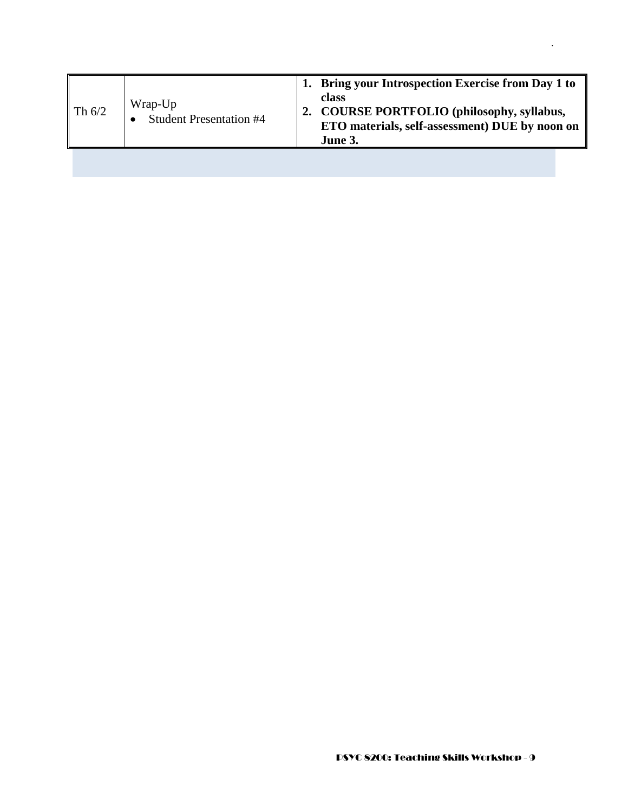| $\parallel$ Th 6/2 | Wrap-Up<br><b>Student Presentation #4</b> | Bring your Introspection Exercise from Day 1 to<br>class<br>2. COURSE PORTFOLIO (philosophy, syllabus,<br>ETO materials, self-assessment) DUE by noon on<br>June 3. |
|--------------------|-------------------------------------------|---------------------------------------------------------------------------------------------------------------------------------------------------------------------|
|                    |                                           |                                                                                                                                                                     |

.